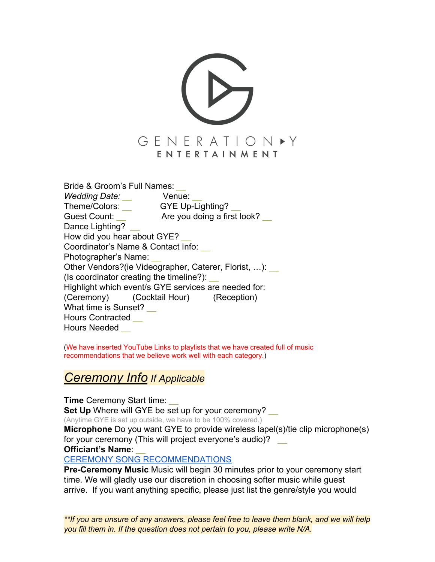

Bride & Groom's Full Names: *\_\_*

*Wedding Date: \_\_* Venue: \_\_ Theme/Colors: \_\_ GYE Up-Lighting? \_\_ Guest Count: \_\_ Are you doing a first look? \_\_ Dance Lighting? How did you hear about GYE? Coordinator's Name & Contact Info: \_\_ Photographer's Name: \_\_ Other Vendors?(ie Videographer, Caterer, Florist, ...): (Is coordinator creating the timeline?): \_\_ Highlight which event/s GYE services are needed for: (Ceremony) (Cocktail Hour) (Reception) What time is Sunset? Hours Contracted \_\_ Hours Needed \_\_

(We have inserted YouTube Links to playlists that we have created full of music recommendations that we believe work well with each category.)

### *Ceremony Info If Applicable*

**Time** Ceremony Start time: **Set Up** Where will GYE be set up for your ceremony? (Anytime GYE is set up outside, we have to be 100% covered.) **Microphone** Do you want GYE to provide wireless lapel(s)/tie clip microphone(s) for your ceremony (This will project everyone's audio)? \_\_ **Officiant's Name**: \_\_

[CEREMONY SONG RECOMMENDATIONS](https://www.youtube.com/playlist?list=PLt6puvqZyJp3OK3olKi4X4VJK7-NsLNWf)

**Pre-Ceremony Music** Music will begin 30 minutes prior to your ceremony start time. We will gladly use our discretion in choosing softer music while guest arrive. If you want anything specific, please just list the genre/style you would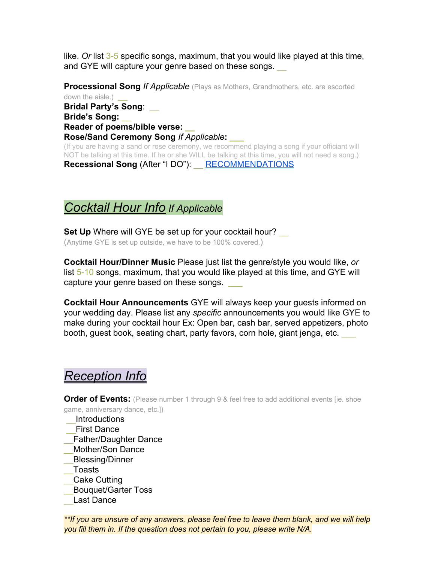like. *Or* list 3-5 specific songs, maximum, that you would like played at this time, and GYE will capture your genre based on these songs.

**Processional Song** *If Applicable* (Plays as Mothers, Grandmothers, etc. are escorted down the aisle.) **Bridal Party's Song**: \_\_ **Bride's Song:** \_\_ **Reader of poems/bible verse: \_\_ Rose/Sand Ceremony Song** *If Applicable***: \_\_\_** (If you are having a sand or rose ceremony, we recommend playing a song if your officiant will NOT be talking at this time. If he or she WILL be talking at this time, you will not need a song.)

**Recessional Song** (After "I DO"): \_\_ [RECOMMENDATIONS](https://www.youtube.com/playlist?list=PLt6puvqZyJp3jJR_IIPv1cLbR5xVG5tnH)

## *Cocktail Hour Info If Applicable*

**Set Up** Where will GYE be set up for your cocktail hour? (Anytime GYE is set up outside, we have to be 100% covered.)

**Cocktail Hour/Dinner Music** Please just list the genre/style you would like, *or* list 5-10 songs, maximum, that you would like played at this time, and GYE will capture your genre based on these songs.

**Cocktail Hour Announcements** GYE will always keep your guests informed on your wedding day. Please list any *specific* announcements you would like GYE to make during your cocktail hour Ex: Open bar, cash bar, served appetizers, photo booth, guest book, seating chart, party favors, corn hole, giant jenga, etc. \_\_\_

# *Reception Info*

**Order of Events:** (Please number 1 through 9 & feel free to add additional events [ie. shoe game, anniversary dance, etc.])

\_\_Introductions

- \_\_First Dance
- \_\_Father/Daughter Dance
- \_\_Mother/Son Dance
- \_\_Blessing/Dinner
- \_\_Toasts
- \_\_Cake Cutting
- \_\_Bouquet/Garter Toss
- Last Dance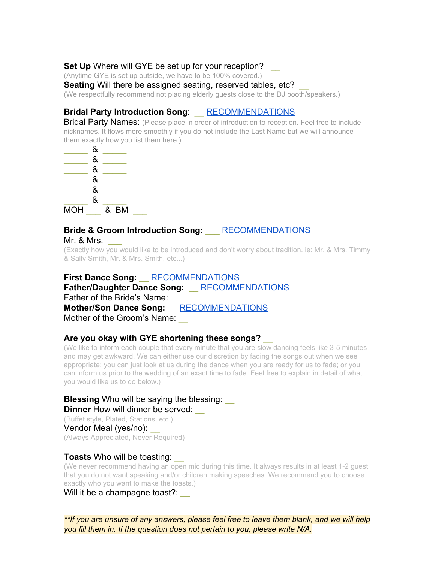### Set Up Where will GYE be set up for your reception?

(Anytime GYE is set up outside, we have to be 100% covered.)

**Seating** Will there be assigned seating, reserved tables, etc?

(We respectfully recommend not placing elderly guests close to the DJ booth/speakers.)

### **Bridal Party Introduction Song**: \_\_ [RECOMMENDATIONS](https://www.youtube.com/playlist?list=PLt6puvqZyJp3jJR_IIPv1cLbR5xVG5tnH)

**Bridal Party Names:** (Please place in order of introduction to reception. Feel free to include nicknames. It flows more smoothly if you do not include the Last Name but we will announce them exactly how you list them here.)



# **Bride & Groom Introduction Song:** \_\_\_ [RECOMMENDATIONS](https://www.youtube.com/playlist?list=PLt6puvqZyJp3jJR_IIPv1cLbR5xVG5tnH)

Mr. & Mrs.

(Exactly how you would like to be introduced and don't worry about tradition. ie: Mr. & Mrs. Timmy & Sally Smith, Mr. & Mrs. Smith, etc...)

**First Dance Song:** \_\_ [RECOMMENDATIONS](https://www.youtube.com/playlist?list=PLt6puvqZyJp3-DBldBe7vNJhvGG8zFV98) **Father/Daughter Dance Song:** \_\_ [RECOMMENDATIONS](https://www.youtube.com/playlist?list=PLt6puvqZyJp1QBtPSWCSMtkQGbeDXW1-s) Father of the Bride's Name: **Mother/Son Dance Song:** \_\_ [RECOMMENDATIONS](https://www.youtube.com/playlist?list=PLt6puvqZyJp3CglhtRAgZUUgBYVhCPXNq) Mother of the Groom's Name:

### **Are you okay with GYE shortening these songs?** \_\_

(We like to inform each couple that every minute that you are slow dancing feels like 3-5 minutes and may get awkward. We can either use our discretion by fading the songs out when we see appropriate; you can just look at us during the dance when you are ready for us to fade; or you can inform us prior to the wedding of an exact time to fade. Feel free to explain in detail of what you would like us to do below.)

#### **Blessing** Who will be saying the blessing: **Dinner** How will dinner be served: \_\_

(Buffet style, Plated, Stations, etc.) Vendor Meal (yes/no)**: \_\_** (Always Appreciated, Never Required)

#### **Toasts** Who will be toasting: \_\_

(We never recommend having an open mic during this time. It always results in at least 1-2 guest that you do not want speaking and/or children making speeches. We recommend you to choose exactly who you want to make the toasts.)

Will it be a champagne toast?: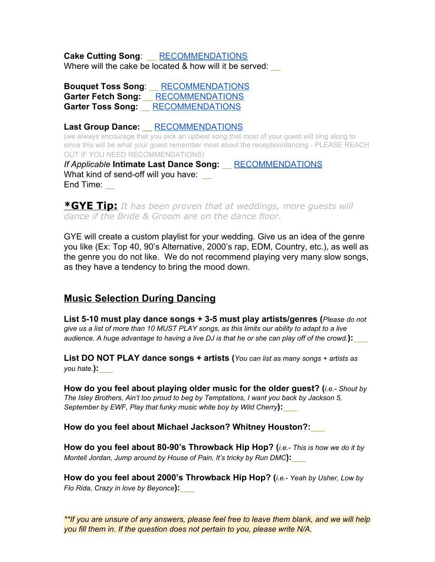**Cake Cutting Song**: \_\_ [RECOMMENDATIONS](https://www.youtube.com/playlist?list=PLt6puvqZyJp3sKbR2Ut4psUGvTM5kYLZC) Where will the cake be located & how will it be served:

**Bouquet Toss Song**: \_\_ [RECOMMENDATIONS](https://www.youtube.com/playlist?list=PLt6puvqZyJp39dojpOzi7PGO9_jZffL_x) **Garter Fetch Song:** \_\_ [RECOMMENDATIONS](https://www.youtube.com/playlist?list=PLt6puvqZyJp0MaF4W5ZpxGTXl3Gm7Hx9X) **Garter Toss Song:** \_\_ [RECOMMENDATIONS](https://www.youtube.com/playlist?list=PLt6puvqZyJp0MaF4W5ZpxGTXl3Gm7Hx9X)

**Last Group Dance: \_\_** [RECOMMENDATIONS](https://www.youtube.com/watch?v=1k8craCGpgs&list=PLt6puvqZyJp3TRyOHmfc7YLfgWK1QNnJz)

(we always encourage that you pick an upbeat song that most of your guest will sing along to since this will be what your guest remember most about the reception/dancing - PLEASE REACH OUT IF YOU NEED RECOMMENDATIONS) *If Applicable* **Intimate Last Dance Song:** \_\_ [RECOMMENDATIONS](https://www.youtube.com/playlist?list=PLt6puvqZyJp3-DBldBe7vNJhvGG8zFV98) What kind of send-off will you have:

End Time:

**\*GYE Tip:** *It has been proven that at weddings, more guests will dance if the Bride & Groom are on the dance floor.*

GYE will create a custom playlist for your wedding. Give us an idea of the genre you like (Ex: Top 40, 90's Alternative, 2000's rap, EDM, Country, etc.), as well as the genre you do not like. We do not recommend playing very many slow songs, as they have a tendency to bring the mood down.

### **Music Selection During Dancing**

**List 5-10 must play dance songs + 3-5 must play artists/genres (***Please do not* give us a list of more than 10 MUST PLAY songs, as this limits our ability to adapt to a live audience. A huge advantage to having a live DJ is that he or she can play off of the crowd.):

**List DO NOT PLAY dance songs + artists (***You can list as many songs <sup>+</sup> artists as you hate.***):**\_\_\_

**How do you feel about playing older music for the older guest? (***i.e.- Shout by The Isley Brothers, Ain't too proud to beg by Temptations, I want you back by Jackson 5, September by EWF, Play that funky music white boy by Wild Cherry***):**\_\_\_

**How do you feel about Michael Jackson? Whitney Houston?:**\_\_\_

**How do you feel about 80-90's Throwback Hip Hop? (***i.e.- This is how we do it by Montell Jordan, Jump around by House of Pain, It's tricky by Run DMC***):**\_\_\_

**How do you feel about 2000's Throwback Hip Hop? (***i.e.- Yeah by Usher, Low by Flo Rida, Crazy in love by Beyonce***):**\_\_\_